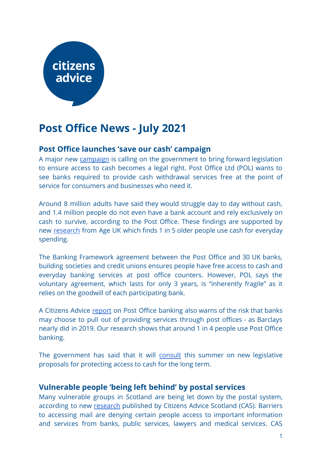# citizens advice

# **Post Office News - July 2021**

## **Post Office launches 'save our cash' campaign**

A major new [campaign](https://corporate.postoffice.co.uk/our-media-centre#/pressreleases/post-office-launches-major-new-campaign-to-save-our-cash-3106506) is calling on the government to bring forward legislation to ensure access to cash becomes a legal right. Post Office Ltd (POL) wants to see banks required to provide cash withdrawal services free at the point of service for consumers and businesses who need it.

Around 8 million adults have said they would struggle day to day without cash, and 1.4 million people do not even have a bank account and rely exclusively on cash to survive, according to the Post Office. These findings are supported by new [research](https://www.ageuk.org.uk/latest-press/articles/2021/one-in-five-older-people-rely-on-cash-for-everyday-spending/) from Age UK which finds 1 in 5 older people use cash for everyday spending.

The Banking Framework agreement between the Post Office and 30 UK banks, building societies and credit unions ensures people have free access to cash and everyday banking services at post office counters. However, POL says the voluntary agreement, which lasts for only 3 years, is "inherently fragile" as it relies on the goodwill of each participating bank.

A Citizens Advice [report](https://www.citizensadvice.org.uk/about-us/our-work/policy/policy-research-topics/post-policy-research-and-consultation-responses/post-policy-research/banking-on-it-how-well-are-post-offices-delivering-cash-and-banking-services/) on Post Office banking also warns of the risk that banks may choose to pull out of providing services through post offices - as Barclays nearly did in 2019. Our research shows that around 1 in 4 people use Post Office banking.

The government has said that it will [consult](https://questions-statements.parliament.uk/written-questions/detail/2021-06-08/12082) this summer on new legislative proposals for protecting access to cash for the long term.

## **Vulnerable people 'being left behind' by postal services**

Many vulnerable groups in Scotland are being let down by the postal system, according to new [research](https://www.cas.org.uk/news/vulnerable-people-being-left-behind-postal-services) published by Citizens Advice Scotland (CAS). Barriers to accessing mail are denying certain people access to important information and services from banks, public services, lawyers and medical services. CAS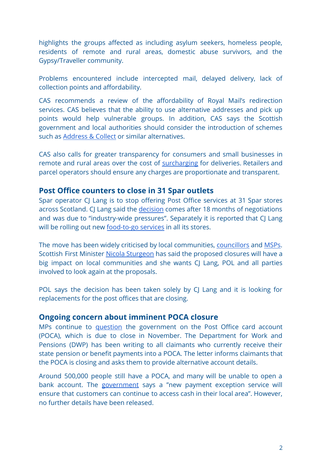highlights the groups affected as including asylum seekers, homeless people, residents of remote and rural areas, domestic abuse survivors, and the Gypsy/Traveller community.

Problems encountered include intercepted mail, delayed delivery, lack of collection points and affordability.

CAS recommends a review of the affordability of Royal Mail's redirection services. CAS believes that the ability to use alternative addresses and pick up points would help vulnerable groups. In addition, CAS says the Scottish government and local authorities should consider the introduction of schemes such as [Address & Collect](https://www.citizensadvice.org.uk/about-us/our-work/policy/policy-research-topics/post-policy-research-and-consultation-responses/post-policy-research/millions-without-mail/) or similar alternatives.

CAS also calls for greater transparency for consumers and small businesses in remote and rural areas over the cost of [surcharging](https://hansard.parliament.uk/commons/2021-06-08/debates/FDF58039-1C11-497E-AE5F-F1C346ADFD9E/DeliveryChargesInHighlandsAndIslands) for deliveries. Retailers and parcel operators should ensure any charges are proportionate and transparent.

#### **Post Office counters to close in 31 Spar outlets**

Spar operator CJ Lang is to stop offering Post Office services at 31 Spar stores across Scotland. CJ Lang said the [decision](https://www.bbc.co.uk/news/uk-scotland-south-scotland-57412410) comes after 18 months of negotiations and was due to "industry-wide pressures". Separately it is reported that CJ Lang will be rolling out new [food-to-go services](http://r.co.uk/spar/cj-lang-to-roll-food-to-go-brand-cjs-to-all-company-owned-stores-by-year-end/657177.article) in all its stores.

The move has been widely criticised by local communities, [councillors](https://www.centralfifetimes.com/news/19363846.councillors-condemn-spar-post-office-decision/) and [MSPs.](https://www.thecourier.co.uk/fp/news/local/perth-kinross/2291395/bitter-disappointment-in-spars-plan-to-axe-nine-post-office-counters-in-tayside-and-fife/) Scottish First Minister Nicola [Sturgeon](https://www.parliament.scot/chamber-and-committees/what-was-said-and-official-reports/what-was-said-in-parliament/meeting-of-parliament-24-06-2021?meeting=13251&iob=120160) has said the proposed closures will have a big impact on local communities and she wants CJ Lang, POL and all parties involved to look again at the proposals.

POL says the decision has been taken solely by CJ Lang and it is looking for replacements for the post offices that are closing.

#### **Ongoing concern about imminent POCA closure**

MPs continue to [question](https://questions-statements.parliament.uk/written-questions/detail/2021-05-19/3848) the government on the Post Office card account (POCA), which is due to close in November. The Department for Work and Pensions (DWP) has been writing to all claimants who currently receive their state pension or benefit payments into a POCA. The letter informs claimants that the POCA is closing and asks them to provide alternative account details.

Around 500,000 people still have a POCA, and many will be unable to open a bank account. The [government](https://questions-statements.parliament.uk/written-questions/detail/2021-05-19/3848) says a "new payment exception service will ensure that customers can continue to access cash in their local area". However, no further details have been released.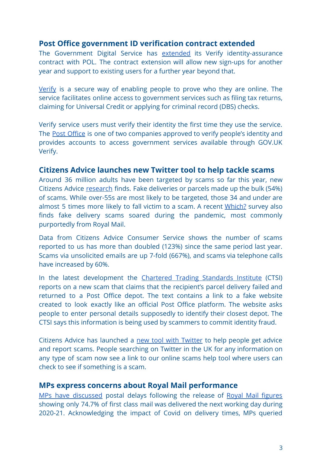#### **Post Office government ID verification contract extended**

The Government Digital Service has [extended](https://www.publictechnology.net/articles/news/gds-signs-%C2%A35m-contract-extensions-verify-partners-support-new-sign-ups-until-april) its Verify identity-assurance contract with POL. The contract extension will allow new sign-ups for another year and support to existing users for a further year beyond that.

[Verify](https://www.gov.uk/government/publications/introducing-govuk-verify/introducing-govuk-verify) is a secure way of enabling people to prove who they are online. The service facilitates online access to government services such as filing tax returns, claiming for Universal Credit or applying for criminal record (DBS) checks.

Verify service users must verify their identity the first time they use the service. The Post [Office](https://www.postoffice.co.uk/identity/government-verify) is one of two companies approved to verify people's identity and provides accounts to access government services available through GOV.UK Verify.

#### **Citizens Advice launches new Twitter tool to help tackle scams**

Around 36 million adults have been targeted by scams so far this year, new Citizens Advice [research](https://www.citizensadvice.org.uk/about-us/about-us1/media/press-releases/36-million-brits-targeted-by-a-scammer-so-far-this-year/) finds. Fake deliveries or parcels made up the bulk (54%) of scams. While over-55s are most likely to be targeted, those 34 and under are almost 5 times more likely to fall victim to a scam. A recent [Which?](https://press.which.co.uk/whichpressreleases/three-in-five-people-have-received-a-scam-delivery-text-in-the-last-year-which-finds/) survey also finds fake delivery scams soared during the pandemic, most commonly purportedly from Royal Mail.

Data from Citizens Advice Consumer Service shows the number of scams reported to us has more than doubled (123%) since the same period last year. Scams via unsolicited emails are up 7-fold (667%), and scams via telephone calls have increased by 60%.

In the latest development the Chartered Trading [Standards](https://www.tradingstandards.uk/news-policy/news-room/2021/post-office-scam-bogus-failed-parcel-delivery-texts-sent-to-public) Institute (CTSI) reports on a new scam that claims that the recipient's parcel delivery failed and returned to a Post Office depot. The text contains a link to a fake website created to look exactly like an official Post Office platform. The website asks people to enter personal details supposedly to identify their closest depot. The CTSI says this information is being used by scammers to commit identity fraud.

Citizens Advice has launched a new tool with [Twitter](https://twitter.com/CitizensAdvice/status/1408708112589148161) to help people get advice and report scams. People searching on Twitter in the UK for any information on any type of scam now see a link to our online scams help tool where users can check to see if something is a scam.

#### **MPs express concerns about Royal Mail performance**

MPs have [discussed](https://hansard.parliament.uk/commons/2021-06-17/debates/1F6AE60C-312A-4E26-8467-964AFF54DEDD/RoyalMail) postal delays following the release of Royal Mail [figures](https://www.royalmailgroup.com/en/press-centre/press-releases/royal-mail/royal-mail-quality-of-service-2020-21/) showing only 74.7% of first class mail was delivered the next working day during 2020-21. Acknowledging the impact of Covid on delivery times, MPs queried